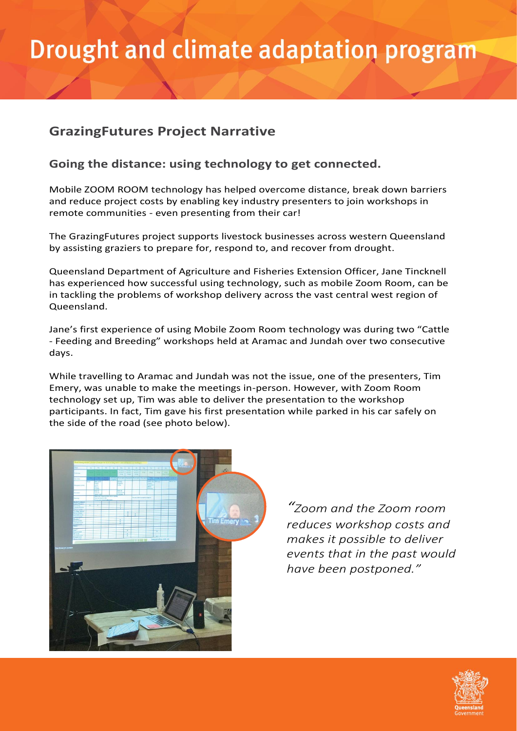# **Drought and climate adaptation program**

### **GrazingFutures Project Narrative**

#### **Going the distance: using technology to get connected.**

Mobile ZOOM ROOM technology has helped overcome distance, break down barriers and reduce project costs by enabling key industry presenters to join workshops in remote communities - even presenting from their car!

The GrazingFutures project supports livestock businesses across western Queensland by assisting graziers to prepare for, respond to, and recover from drought.

Queensland Department of Agriculture and Fisheries Extension Officer, Jane Tincknell has experienced how successful using technology, such as mobile Zoom Room, can be in tackling the problems of workshop delivery across the vast central west region of Queensland.

Jane's first experience of using Mobile Zoom Room technology was during two "Cattle - Feeding and Breeding" workshops held at Aramac and Jundah over two consecutive days.

While travelling to Aramac and Jundah was not the issue, one of the presenters, Tim Emery, was unable to make the meetings in-person. However, with Zoom Room technology set up, Tim was able to deliver the presentation to the workshop participants. In fact, Tim gave his first presentation while parked in his car safely on the side of the road (see photo below).



*"Zoom and the Zoom room reduces workshop costs and makes it possible to deliver events that in the past would have been postponed."*

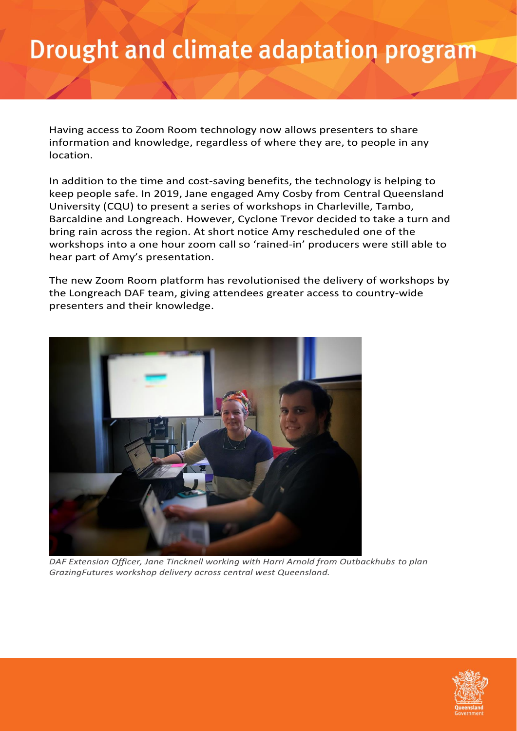### Drought and climate adaptation program

Having access to Zoom Room technology now allows presenters to share information and knowledge, regardless of where they are, to people in any location.

In addition to the time and cost-saving benefits, the technology is helping to keep people safe. In 2019, Jane engaged Amy Cosby from Central Queensland University (CQU) to present a series of workshops in Charleville, Tambo, Barcaldine and Longreach. However, Cyclone Trevor decided to take a turn and bring rain across the region. At short notice Amy rescheduled one of the workshops into a one hour zoom call so 'rained-in' producers were still able to hear part of Amy's presentation.

The new Zoom Room platform has revolutionised the delivery of workshops by the Longreach DAF team, giving attendees greater access to country-wide presenters and their knowledge.



*DAF Extension Officer, Jane Tincknell working with Harri Arnold from Outbackhubs to plan GrazingFutures workshop delivery across central west Queensland.*